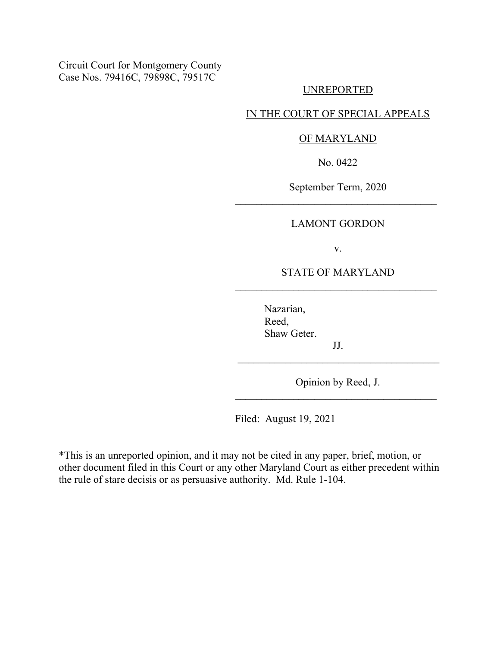Circuit Court for Montgomery County Case Nos. 79416C, 79898C, 79517C

## UNREPORTED

# IN THE COURT OF SPECIAL APPEALS

### OF MARYLAND

No. 0422

September Term, 2020

### LAMONT GORDON

v.

# STATE OF MARYLAND  $\mathcal{L}_\text{max}$  and  $\mathcal{L}_\text{max}$  and  $\mathcal{L}_\text{max}$  and  $\mathcal{L}_\text{max}$

Nazarian, Reed, Shaw Geter.

Opinion by Reed, J.  $\mathcal{L}_\text{max}$  and  $\mathcal{L}_\text{max}$  and  $\mathcal{L}_\text{max}$  and  $\mathcal{L}_\text{max}$ 

JJ.

Filed: August 19, 2021

\*This is an unreported opinion, and it may not be cited in any paper, brief, motion, or other document filed in this Court or any other Maryland Court as either precedent within the rule of stare decisis or as persuasive authority. Md. Rule 1-104.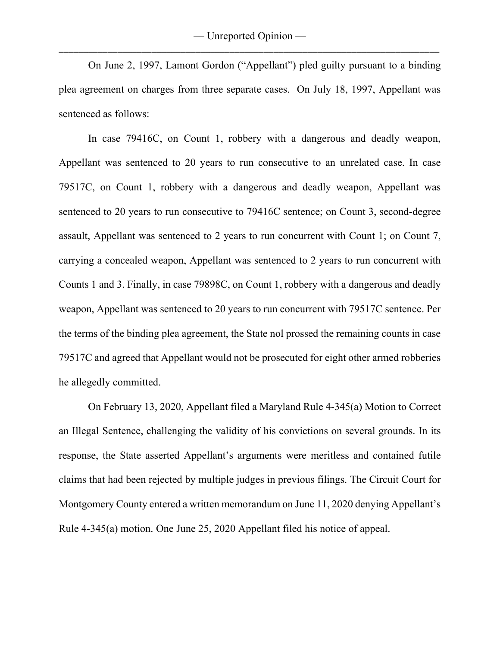On June 2, 1997, Lamont Gordon ("Appellant") pled guilty pursuant to a binding plea agreement on charges from three separate cases. On July 18, 1997, Appellant was sentenced as follows:

In case 79416C, on Count 1, robbery with a dangerous and deadly weapon, Appellant was sentenced to 20 years to run consecutive to an unrelated case. In case 79517C, on Count 1, robbery with a dangerous and deadly weapon, Appellant was sentenced to 20 years to run consecutive to 79416C sentence; on Count 3, second-degree assault, Appellant was sentenced to 2 years to run concurrent with Count 1; on Count 7, carrying a concealed weapon, Appellant was sentenced to 2 years to run concurrent with Counts 1 and 3. Finally, in case 79898C, on Count 1, robbery with a dangerous and deadly weapon, Appellant was sentenced to 20 years to run concurrent with 79517C sentence. Per the terms of the binding plea agreement, the State nol prossed the remaining counts in case 79517C and agreed that Appellant would not be prosecuted for eight other armed robberies he allegedly committed.

On February 13, 2020, Appellant filed a Maryland Rule 4-345(a) Motion to Correct an Illegal Sentence, challenging the validity of his convictions on several grounds. In its response, the State asserted Appellant's arguments were meritless and contained futile claims that had been rejected by multiple judges in previous filings. The Circuit Court for Montgomery County entered a written memorandum on June 11, 2020 denying Appellant's Rule 4-345(a) motion. One June 25, 2020 Appellant filed his notice of appeal.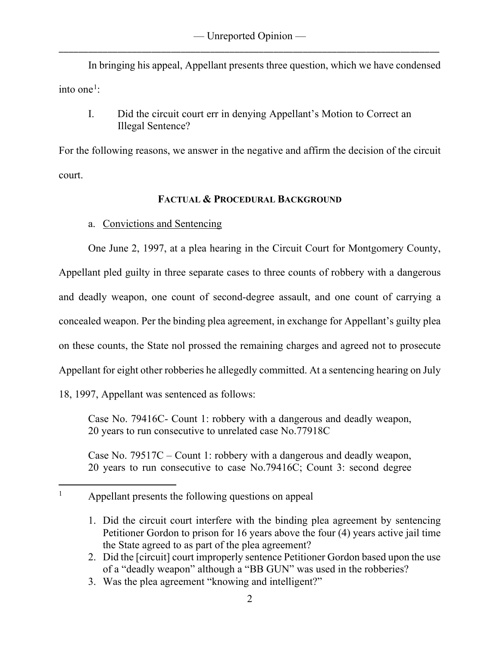In bringing his appeal, Appellant presents three question, which we have condensed into one<sup>[1](#page-2-0)</sup>:

I. Did the circuit court err in denying Appellant's Motion to Correct an Illegal Sentence?

For the following reasons, we answer in the negative and affirm the decision of the circuit court.

# **FACTUAL & PROCEDURAL BACKGROUND**

a. Convictions and Sentencing

One June 2, 1997, at a plea hearing in the Circuit Court for Montgomery County,

Appellant pled guilty in three separate cases to three counts of robbery with a dangerous and deadly weapon, one count of second-degree assault, and one count of carrying a concealed weapon. Per the binding plea agreement, in exchange for Appellant's guilty plea on these counts, the State nol prossed the remaining charges and agreed not to prosecute Appellant for eight other robberies he allegedly committed. At a sentencing hearing on July 18, 1997, Appellant was sentenced as follows:

Case No. 79416C- Count 1: robbery with a dangerous and deadly weapon, 20 years to run consecutive to unrelated case No.77918C

Case No. 79517C – Count 1: robbery with a dangerous and deadly weapon, 20 years to run consecutive to case No.79416C; Count 3: second degree

- 2. Did the [circuit] court improperly sentence Petitioner Gordon based upon the use of a "deadly weapon" although a "BB GUN" was used in the robberies?
- 3. Was the plea agreement "knowing and intelligent?"

<span id="page-2-0"></span><sup>&</sup>lt;sup>1</sup> Appellant presents the following questions on appeal

<sup>1.</sup> Did the circuit court interfere with the binding plea agreement by sentencing Petitioner Gordon to prison for 16 years above the four (4) years active jail time the State agreed to as part of the plea agreement?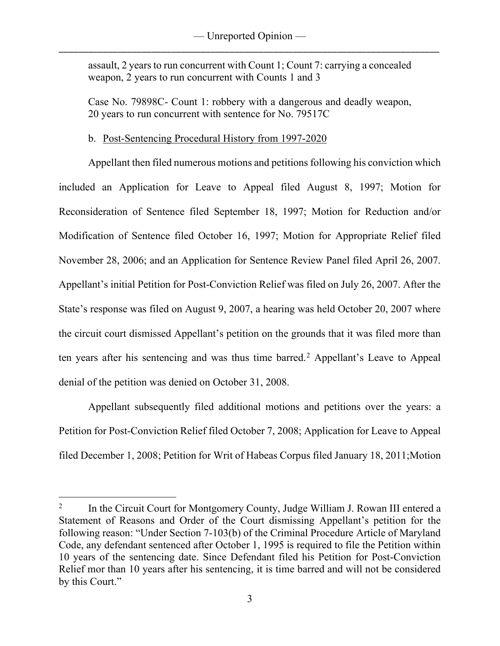assault, 2 years to run concurrent with Count 1; Count 7: carrying a concealed weapon, 2 years to run concurrent with Counts 1 and 3

Case No. 79898C- Count 1: robbery with a dangerous and deadly weapon, 20 years to run concurrent with sentence for No. 79517C

# b. Post-Sentencing Procedural History from 1997-2020

Appellant then filed numerous motions and petitions following his conviction which included an Application for Leave to Appeal filed August 8, 1997; Motion for Reconsideration of Sentence filed September 18, 1997; Motion for Reduction and/or Modification of Sentence filed October 16, 1997; Motion for Appropriate Relief filed November 28, 2006; and an Application for Sentence Review Panel filed April 26, 2007. Appellant's initial Petition for Post-Conviction Relief was filed on July 26, 2007. After the State's response was filed on August 9, 2007, a hearing was held October 20, 2007 where the circuit court dismissed Appellant's petition on the grounds that it was filed more than ten years after his sentencing and was thus time barred.<sup>[2](#page-3-0)</sup> Appellant's Leave to Appeal denial of the petition was denied on October 31, 2008.

Appellant subsequently filed additional motions and petitions over the years: a Petition for Post-Conviction Relief filed October 7, 2008; Application for Leave to Appeal filed December 1, 2008; Petition for Writ of Habeas Corpus filed January 18, 2011;Motion

<span id="page-3-0"></span><sup>&</sup>lt;sup>2</sup> In the Circuit Court for Montgomery County, Judge William J. Rowan III entered a Statement of Reasons and Order of the Court dismissing Appellant's petition for the following reason: "Under Section 7-103(b) of the Criminal Procedure Article of Maryland Code, any defendant sentenced after October 1, 1995 is required to file the Petition within 10 years of the sentencing date. Since Defendant filed his Petition for Post-Conviction Relief mor than 10 years after his sentencing, it is time barred and will not be considered by this Court."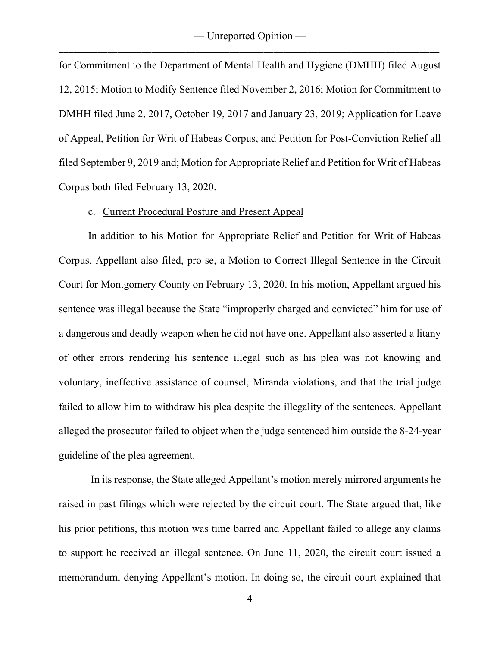for Commitment to the Department of Mental Health and Hygiene (DMHH) filed August 12, 2015; Motion to Modify Sentence filed November 2, 2016; Motion for Commitment to DMHH filed June 2, 2017, October 19, 2017 and January 23, 2019; Application for Leave of Appeal, Petition for Writ of Habeas Corpus, and Petition for Post-Conviction Relief all filed September 9, 2019 and; Motion for Appropriate Relief and Petition for Writ of Habeas Corpus both filed February 13, 2020.

### c. Current Procedural Posture and Present Appeal

In addition to his Motion for Appropriate Relief and Petition for Writ of Habeas Corpus, Appellant also filed, pro se, a Motion to Correct Illegal Sentence in the Circuit Court for Montgomery County on February 13, 2020. In his motion, Appellant argued his sentence was illegal because the State "improperly charged and convicted" him for use of a dangerous and deadly weapon when he did not have one. Appellant also asserted a litany of other errors rendering his sentence illegal such as his plea was not knowing and voluntary, ineffective assistance of counsel, Miranda violations, and that the trial judge failed to allow him to withdraw his plea despite the illegality of the sentences. Appellant alleged the prosecutor failed to object when the judge sentenced him outside the 8-24-year guideline of the plea agreement.

In its response, the State alleged Appellant's motion merely mirrored arguments he raised in past filings which were rejected by the circuit court. The State argued that, like his prior petitions, this motion was time barred and Appellant failed to allege any claims to support he received an illegal sentence. On June 11, 2020, the circuit court issued a memorandum, denying Appellant's motion. In doing so, the circuit court explained that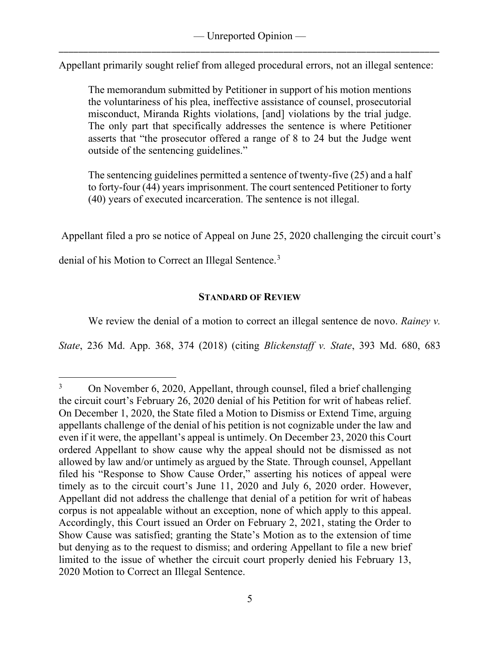Appellant primarily sought relief from alleged procedural errors, not an illegal sentence:

The memorandum submitted by Petitioner in support of his motion mentions the voluntariness of his plea, ineffective assistance of counsel, prosecutorial misconduct, Miranda Rights violations, [and] violations by the trial judge. The only part that specifically addresses the sentence is where Petitioner asserts that "the prosecutor offered a range of 8 to 24 but the Judge went outside of the sentencing guidelines."

The sentencing guidelines permitted a sentence of twenty-five (25) and a half to forty-four (44) years imprisonment. The court sentenced Petitioner to forty (40) years of executed incarceration. The sentence is not illegal.

Appellant filed a pro se notice of Appeal on June 25, 2020 challenging the circuit court's

denial of his Motion to Correct an Illegal Sentence.<sup>[3](#page-5-0)</sup>

# **STANDARD OF REVIEW**

We review the denial of a motion to correct an illegal sentence de novo. *Rainey v.* 

*State*, 236 Md. App. 368, 374 (2018) (citing *Blickenstaff v. State*, 393 Md. 680, 683

<span id="page-5-0"></span><sup>&</sup>lt;sup>3</sup> On November 6, 2020, Appellant, through counsel, filed a brief challenging the circuit court's February 26, 2020 denial of his Petition for writ of habeas relief. On December 1, 2020, the State filed a Motion to Dismiss or Extend Time, arguing appellants challenge of the denial of his petition is not cognizable under the law and even if it were, the appellant's appeal is untimely. On December 23, 2020 this Court ordered Appellant to show cause why the appeal should not be dismissed as not allowed by law and/or untimely as argued by the State. Through counsel, Appellant filed his "Response to Show Cause Order," asserting his notices of appeal were timely as to the circuit court's June 11, 2020 and July 6, 2020 order. However, Appellant did not address the challenge that denial of a petition for writ of habeas corpus is not appealable without an exception, none of which apply to this appeal. Accordingly, this Court issued an Order on February 2, 2021, stating the Order to Show Cause was satisfied; granting the State's Motion as to the extension of time but denying as to the request to dismiss; and ordering Appellant to file a new brief limited to the issue of whether the circuit court properly denied his February 13, 2020 Motion to Correct an Illegal Sentence.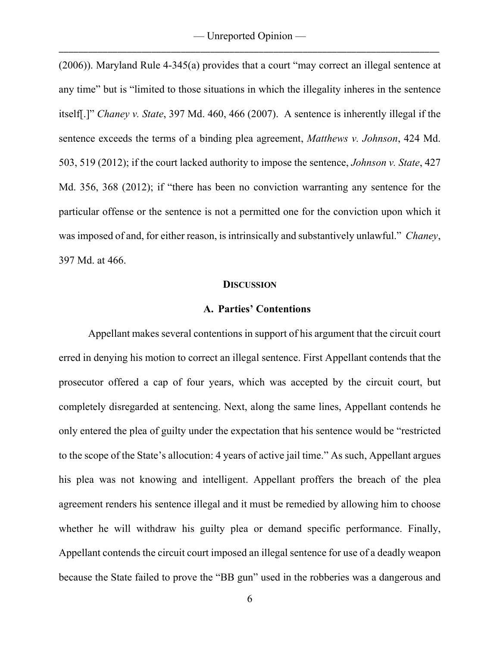(2006)). Maryland Rule 4-345(a) provides that a court "may correct an illegal sentence at any time" but is "limited to those situations in which the illegality inheres in the sentence itself[.]" *Chaney v. State*, 397 Md. 460, 466 (2007). A sentence is inherently illegal if the sentence exceeds the terms of a binding plea agreement, *Matthews v. Johnson*, 424 Md. 503, 519 (2012); if the court lacked authority to impose the sentence, *Johnson v. State*, 427 Md. 356, 368 (2012); if "there has been no conviction warranting any sentence for the particular offense or the sentence is not a permitted one for the conviction upon which it was imposed of and, for either reason, is intrinsically and substantively unlawful." *Chaney*, 397 Md. at 466.

#### **DISCUSSION**

### **A. Parties' Contentions**

Appellant makes several contentions in support of his argument that the circuit court erred in denying his motion to correct an illegal sentence. First Appellant contends that the prosecutor offered a cap of four years, which was accepted by the circuit court, but completely disregarded at sentencing. Next, along the same lines, Appellant contends he only entered the plea of guilty under the expectation that his sentence would be "restricted to the scope of the State's allocution: 4 years of active jail time." As such, Appellant argues his plea was not knowing and intelligent. Appellant proffers the breach of the plea agreement renders his sentence illegal and it must be remedied by allowing him to choose whether he will withdraw his guilty plea or demand specific performance. Finally, Appellant contends the circuit court imposed an illegal sentence for use of a deadly weapon because the State failed to prove the "BB gun" used in the robberies was a dangerous and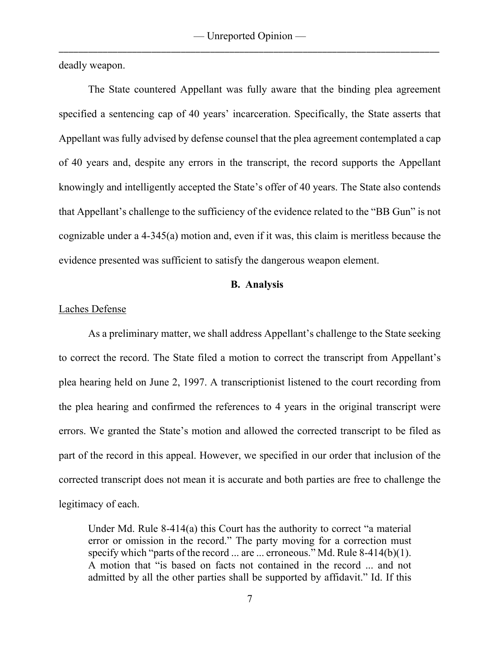deadly weapon.

The State countered Appellant was fully aware that the binding plea agreement specified a sentencing cap of 40 years' incarceration. Specifically, the State asserts that Appellant was fully advised by defense counsel that the plea agreement contemplated a cap of 40 years and, despite any errors in the transcript, the record supports the Appellant knowingly and intelligently accepted the State's offer of 40 years. The State also contends that Appellant's challenge to the sufficiency of the evidence related to the "BB Gun" is not cognizable under a 4-345(a) motion and, even if it was, this claim is meritless because the evidence presented was sufficient to satisfy the dangerous weapon element.

### **B. Analysis**

### Laches Defense

As a preliminary matter, we shall address Appellant's challenge to the State seeking to correct the record. The State filed a motion to correct the transcript from Appellant's plea hearing held on June 2, 1997. A transcriptionist listened to the court recording from the plea hearing and confirmed the references to 4 years in the original transcript were errors. We granted the State's motion and allowed the corrected transcript to be filed as part of the record in this appeal. However, we specified in our order that inclusion of the corrected transcript does not mean it is accurate and both parties are free to challenge the legitimacy of each.

Under Md. Rule 8-414(a) this Court has the authority to correct "a material error or omission in the record." The party moving for a correction must specify which "parts of the record ... are ... erroneous." Md. Rule  $8-414(b)(1)$ . A motion that "is based on facts not contained in the record ... and not admitted by all the other parties shall be supported by affidavit." Id. If this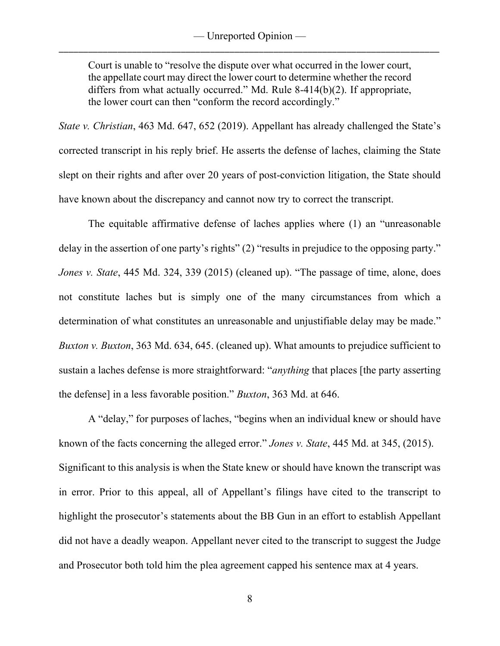Court is unable to "resolve the dispute over what occurred in the lower court, the appellate court may direct the lower court to determine whether the record differs from what actually occurred." Md. Rule 8-414(b)(2). If appropriate, the lower court can then "conform the record accordingly."

*State v. Christian*, 463 Md. 647, 652 (2019). Appellant has already challenged the State's corrected transcript in his reply brief. He asserts the defense of laches, claiming the State slept on their rights and after over 20 years of post-conviction litigation, the State should have known about the discrepancy and cannot now try to correct the transcript.

The equitable affirmative defense of laches applies where (1) an "unreasonable delay in the assertion of one party's rights" (2) "results in prejudice to the opposing party." *Jones v. State*, 445 Md. 324, 339 (2015) (cleaned up). "The passage of time, alone, does not constitute laches but is simply one of the many circumstances from which a determination of what constitutes an unreasonable and unjustifiable delay may be made." *Buxton v. Buxton*, 363 Md. 634, 645. (cleaned up). What amounts to prejudice sufficient to sustain a laches defense is more straightforward: "*anything* that places [the party asserting the defense] in a less favorable position." *Buxton*, 363 Md. at 646.

A "delay," for purposes of laches, "begins when an individual knew or should have known of the facts concerning the alleged error." *Jones v. State*, 445 Md. at 345, (2015). Significant to this analysis is when the State knew or should have known the transcript was in error. Prior to this appeal, all of Appellant's filings have cited to the transcript to highlight the prosecutor's statements about the BB Gun in an effort to establish Appellant did not have a deadly weapon. Appellant never cited to the transcript to suggest the Judge and Prosecutor both told him the plea agreement capped his sentence max at 4 years.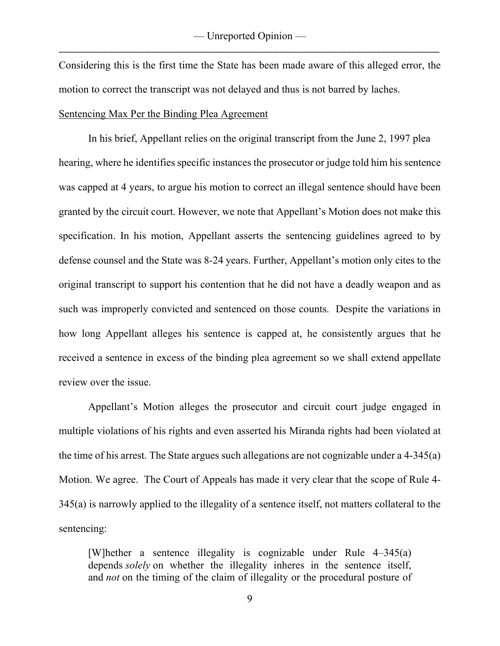Considering this is the first time the State has been made aware of this alleged error, the motion to correct the transcript was not delayed and thus is not barred by laches.

### Sentencing Max Per the Binding Plea Agreement

In his brief, Appellant relies on the original transcript from the June 2, 1997 plea hearing, where he identifies specific instances the prosecutor or judge told him his sentence was capped at 4 years, to argue his motion to correct an illegal sentence should have been granted by the circuit court. However, we note that Appellant's Motion does not make this specification. In his motion, Appellant asserts the sentencing guidelines agreed to by defense counsel and the State was 8-24 years. Further, Appellant's motion only cites to the original transcript to support his contention that he did not have a deadly weapon and as such was improperly convicted and sentenced on those counts. Despite the variations in how long Appellant alleges his sentence is capped at, he consistently argues that he received a sentence in excess of the binding plea agreement so we shall extend appellate review over the issue.

Appellant's Motion alleges the prosecutor and circuit court judge engaged in multiple violations of his rights and even asserted his Miranda rights had been violated at the time of his arrest. The State argues such allegations are not cognizable under a 4-345(a) Motion. We agree. The Court of Appeals has made it very clear that the scope of Rule 4- 345(a) is narrowly applied to the illegality of a sentence itself, not matters collateral to the sentencing:

[W]hether a sentence illegality is cognizable under Rule 4–345(a) depends *solely* on whether the illegality inheres in the sentence itself, and *not* on the timing of the claim of illegality or the procedural posture of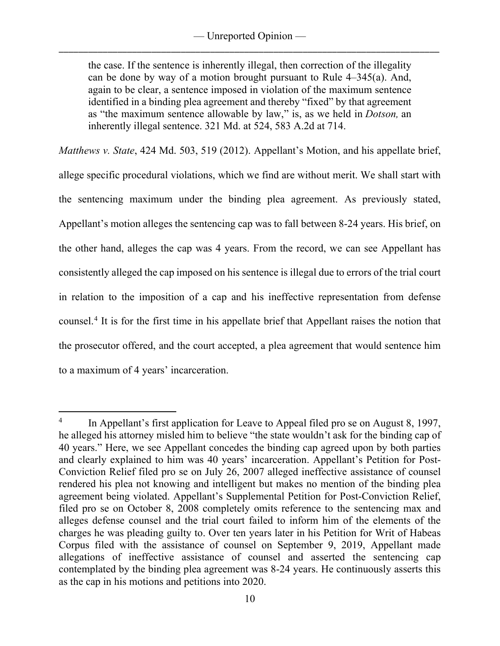the case. If the sentence is inherently illegal, then correction of the illegality can be done by way of a motion brought pursuant to Rule 4–345(a). And, again to be clear, a sentence imposed in violation of the maximum sentence identified in a binding plea agreement and thereby "fixed" by that agreement as "the maximum sentence allowable by law," is, as we held in *Dotson,* an inherently illegal sentence. 321 Md. at 524, 583 A.2d at 714.

*Matthews v. State*, 424 Md. 503, 519 (2012). Appellant's Motion, and his appellate brief, allege specific procedural violations, which we find are without merit. We shall start with the sentencing maximum under the binding plea agreement. As previously stated, Appellant's motion alleges the sentencing cap was to fall between 8-24 years. His brief, on the other hand, alleges the cap was 4 years. From the record, we can see Appellant has consistently alleged the cap imposed on his sentence is illegal due to errors of the trial court in relation to the imposition of a cap and his ineffective representation from defense counsel. [4](#page-10-0) It is for the first time in his appellate brief that Appellant raises the notion that the prosecutor offered, and the court accepted, a plea agreement that would sentence him to a maximum of 4 years' incarceration.

<span id="page-10-0"></span> $\frac{4}{10}$  In Appellant's first application for Leave to Appeal filed pro se on August 8, 1997, he alleged his attorney misled him to believe "the state wouldn't ask for the binding cap of 40 years." Here, we see Appellant concedes the binding cap agreed upon by both parties and clearly explained to him was 40 years' incarceration. Appellant's Petition for Post-Conviction Relief filed pro se on July 26, 2007 alleged ineffective assistance of counsel rendered his plea not knowing and intelligent but makes no mention of the binding plea agreement being violated. Appellant's Supplemental Petition for Post-Conviction Relief, filed pro se on October 8, 2008 completely omits reference to the sentencing max and alleges defense counsel and the trial court failed to inform him of the elements of the charges he was pleading guilty to. Over ten years later in his Petition for Writ of Habeas Corpus filed with the assistance of counsel on September 9, 2019, Appellant made allegations of ineffective assistance of counsel and asserted the sentencing cap contemplated by the binding plea agreement was 8-24 years. He continuously asserts this as the cap in his motions and petitions into 2020.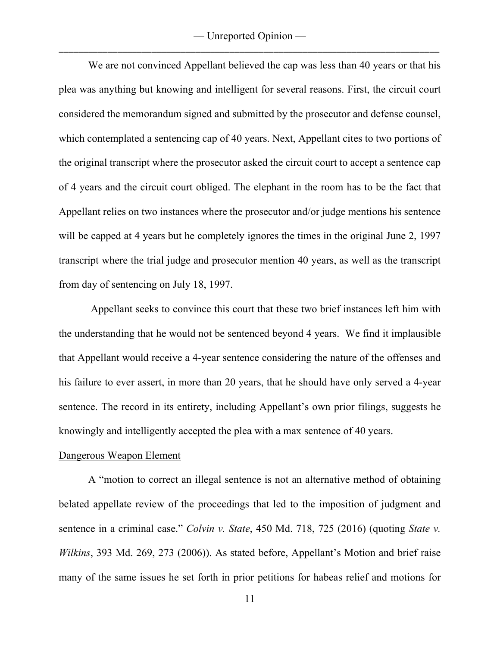— Unreported Opinion — \_\_\_\_\_\_\_\_\_\_\_\_\_\_\_\_\_\_\_\_\_\_\_\_\_\_\_\_\_\_\_\_\_\_\_\_\_\_\_\_\_\_\_\_\_\_\_\_\_\_\_\_\_\_\_\_\_\_\_\_\_\_\_\_\_\_\_\_\_\_\_\_\_\_\_\_\_\_

We are not convinced Appellant believed the cap was less than 40 years or that his plea was anything but knowing and intelligent for several reasons. First, the circuit court considered the memorandum signed and submitted by the prosecutor and defense counsel, which contemplated a sentencing cap of 40 years. Next, Appellant cites to two portions of the original transcript where the prosecutor asked the circuit court to accept a sentence cap of 4 years and the circuit court obliged. The elephant in the room has to be the fact that Appellant relies on two instances where the prosecutor and/or judge mentions his sentence will be capped at 4 years but he completely ignores the times in the original June 2, 1997 transcript where the trial judge and prosecutor mention 40 years, as well as the transcript from day of sentencing on July 18, 1997.

Appellant seeks to convince this court that these two brief instances left him with the understanding that he would not be sentenced beyond 4 years. We find it implausible that Appellant would receive a 4-year sentence considering the nature of the offenses and his failure to ever assert, in more than 20 years, that he should have only served a 4-year sentence. The record in its entirety, including Appellant's own prior filings, suggests he knowingly and intelligently accepted the plea with a max sentence of 40 years.

### Dangerous Weapon Element

A "motion to correct an illegal sentence is not an alternative method of obtaining belated appellate review of the proceedings that led to the imposition of judgment and sentence in a criminal case." *Colvin v. State*, 450 Md. 718, 725 (2016) (quoting *State v. Wilkins*, 393 Md. 269, 273 (2006)). As stated before, Appellant's Motion and brief raise many of the same issues he set forth in prior petitions for habeas relief and motions for